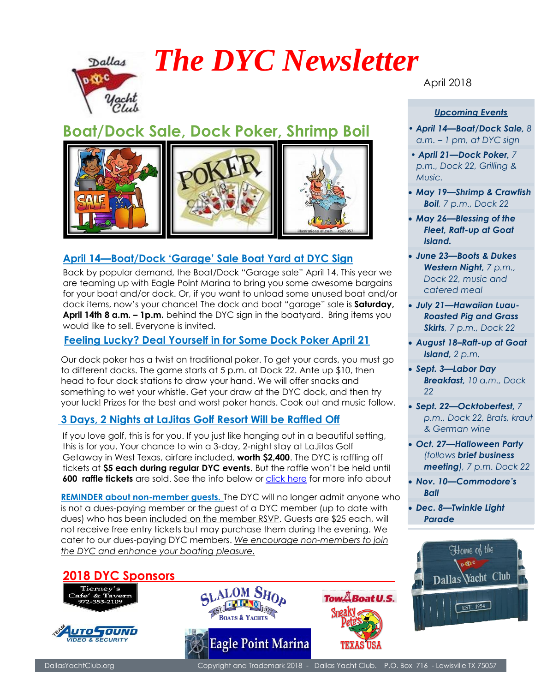

# *The DYC Newsletter*

## **Boat/Dock Sale, Dock Poker, Shrimp Boil**



### **April 14—Boat/Dock 'Garage' Sale Boat Yard at DYC Sign**

 Back by popular demand, the Boat/Dock "Garage sale" April 14. This year we are teaming up with Eagle Point Marina to bring you some awesome bargains for your boat and/or dock. Or, if you want to unload some unused boat and/or dock items, now's your chance! The dock and boat "garage" sale is **Saturday, April 14th 8 a.m. – 1p.m.** behind the DYC sign in the boatyard. Bring items you would like to sell. Everyone is invited.

#### **Feeling Lucky? Deal Yourself in for Some Dock Poker April 21**

Our dock poker has a twist on traditional poker. To get your cards, you must go to different docks. The game starts at 5 p.m. at Dock 22. Ante up \$10, then head to four dock stations to draw your hand. We will offer snacks and something to wet your whistle. Get your draw at the DYC dock, and then try your luck! Prizes for the best and worst poker hands. Cook out and music follow.

#### **3 Days, 2 Nights at LaJitas Golf Resort Will be Raffled Off**

If you love golf, this is for you. If you just like hanging out in a beautiful setting, this is for you. Your chance to win a 3-day, 2-night stay at LaJitas Golf Getaway in West Texas, airfare included, **worth \$2,400**. The DYC is raffling off tickets at **\$5 each during regular DYC events**. But the raffle won't be held until **600 raffle tickets** are sold. See the info below or [click here](https://www.lajitasgolfresort.com/) for more info about

**REMINDER about non-member guests.** The DYC will no longer admit anyone who is not a dues-paying member or the guest of a DYC member (up to date with dues) who has been included on the member RSVP. Guests are \$25 each, will not receive free entry tickets but may purchase them during the evening. We cater to our dues-paying DYC members. *We encourage non-members to join the DYC and enhance your boating pleasure.*

### **2018 DYC Sponsors\_\_\_\_\_\_\_\_\_\_\_\_\_\_\_\_\_\_\_\_\_\_\_\_\_\_\_\_\_\_\_\_\_\_\_\_**









April 2018

#### *Upcoming Events*

- *April 14—Boat/Dock Sale, 8 a.m. – 1 pm, at DYC sign*
- *April 21—Dock Poker, 7 p.m., Dock 22, Grilling & Music.*
- *May 19—Shrimp & Crawfish Boil, 7 p.m., Dock 22*
- *May 26—Blessing of the Fleet, Raft-up at Goat Island.*
- *June 23—Boots & Dukes Western Night, 7 p.m., Dock 22, music and catered meal*
- *July 21—Hawaiian Luau-Roasted Pig and Grass Skirts, 7 p.m., Dock 22*
- *August 18–Raft-up at Goat Island, 2 p.m.*
- *Sept. 3—Labor Day Breakfast, 10 a.m., Dock 22*
- *Sept. 22—Ocktoberfest, 7 p.m., Dock 22, Brats, kraut & German wine*
- *Oct. 27—Halloween Party (follows brief business meeting), 7 p.m. Dock 22*
- *Nov. 10—Commodore's Ball*
- *Dec. 8—Twinkle Light Parade*



DallasYachtClub.org Copyright and Trademark 2018 - Dallas Yacht Club. P.O. Box 716 - Lewisville TX 75057